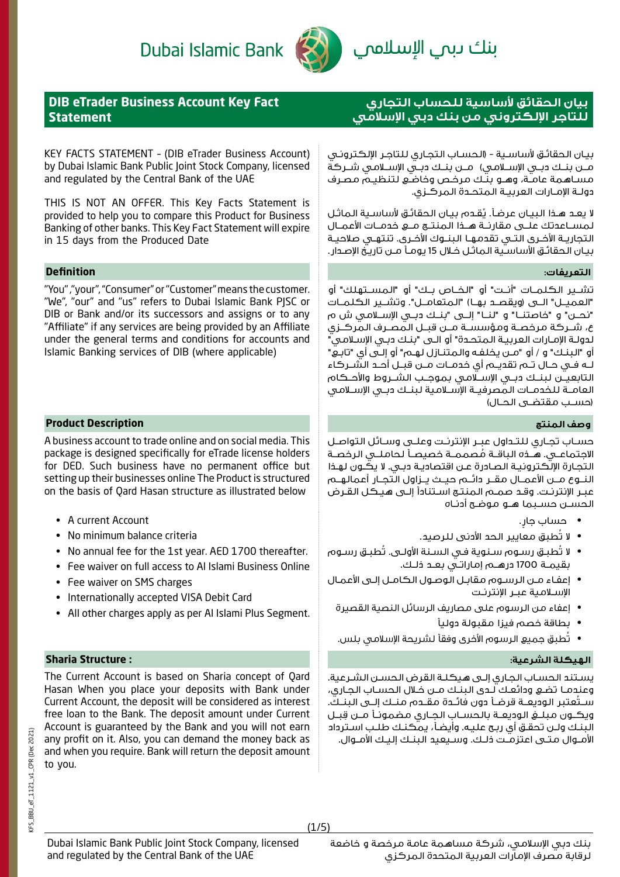# Dubai Islamic Bank



# بنك ىبى الإسلامى

# **DIB eTrader Business Account Key Fact Statement**

KEY FACTS STATEMENT – (DIB eTrader Business Account) by Dubai Islamic Bank Public Joint Stock Company, licensed and regulated by the Central Bank of the UAE

THIS IS NOT AN OFFER. This Key Facts Statement is provided to help you to compare this Product for Business Banking of other banks. This Key Fact Statement will expire in 15 days from the Produced Date

# **التعريفات: Definition**

"You" ,"your", "Consumer" or "Customer" means the customer. "We", "our" and "us" refers to Dubai Islamic Bank PJSC or DIB or Bank and/or its successors and assigns or to any "Affiliate" if any services are being provided by an Affiliate under the general terms and conditions for accounts and Islamic Banking services of DIB (where applicable)

## **وصف المنتج Description Product**

A business account to trade online and on social media. This package is designed specifically for eTrade license holders for DED. Such business have no permanent office but setting up their businesses online The Product is structured on the basis of Qard Hasan structure as illustrated below

- A current Account
- No minimum balance criteria
- No annual fee for the 1st year. AED 1700 thereafter.
- Fee waiver on full access to Al Islami Business Online
- Fee waiver on SMS charges
- Internationally accepted VISA Debit Card
- All other charges apply as per Al Islami Plus Segment.

## **الهيكلة الشرعية: : Structure Sharia**

The Current Account is based on Sharia concept of Qard Hasan When you place your deposits with Bank under Current Account, the deposit will be considered as interest free loan to the Bank. The deposit amount under Current Account is guaranteed by the Bank and you will not earn any profit on it. Also, you can demand the money back as and when you require. Bank will return the deposit amount to you.

# **بيان الحقائق ألساسية للحساب التجاري للتاجر اإللكتروني من بنك دبي اإلسالمي**

بيـان الحقائـق لأساسـية - (الحسـاب التجـاري للـتاجـر الإلكـترونـي مــن بنــك دبــي الإســلامـي) مــن بنــك دبــي الإســلامـي شــركة مسـاهمة عامـة، وهـو بنـك مرخـص وخاضـع لتنظيـم مصـرف دولـة اإلمـارات العربيـة المتحـدة المركـزي.

لا يعـد هـذا البيـان عرضـاً. يُقـدم بيـان الحقائـق لأساسـية الماثـل لمســاعدتك علــى مقارنــة هــذا المنتــج مــع خدمــات األعمــال التجاريــة األخــرى التــي تقدمهــا البنــوك األخــرى. تنتهــي صالحيــة بيـان الحقائـق الأساسـية الـماثـل خـلال 15 يومـاً مـن تاريـخ الإصـدار.

تشــير الكلمــات "أنــت" أو "الخــاص بــك" أو "المســتهلك" أو "العميــل" الــى (ويقصــد بهــا) "المتعامــل". وتشــير الكلمــات "نحــن" و "خاصتنــا" و "لنــا" إلــى "بنــك دبــي اإلســامي ش م ع، شــركة مرخصــة ومؤسســة مــن قبــل المصـرف المركــزي لدولـة اإلمـارات العربيـة المتحـدة" أو الـى "بنـك دبـي اإلسـامي" أو "البنـك" و / أو "مـن يخلفـه والمتنـازل لهـم" أو إلـى أي "تابـع" لــه فــي حــال تــم تقديــم أي خدمــات مــن قبــل أحــد الشــركاء التابعيــن لبنــك دبــي اإلســامي بموجــب الشــروط واألحــكام العامــة للخدمــات المصرفيــة اإلســامية لبنــك دبــي اإلســامي (حســب مقتضــى الحــال)

حســاب تجــاري للتــداول عبــر اإلنترنــت وعلــى وســائل التواصــل الاجتماعــي. هــذه الباقــة مُصممــة خصيصــأ لـحاملـــي الرخصــة<br>الـتجـارة الإلكـترونيـة الـصـادرة عـن اقتصاديـة دبــى. لا يكــون لهـذا النــوع مــن األعمــال مقــر دائــم حيــث يــزاول التجــار أعمالهــم عبـر اإلنترنـت. وقـد صمـم المنتـج اسـتنادًا إلـى هيـكل القـرض الحســن حســبما هــو موضــح أدنــاه

- ٍ حساب جار.
- ال تُطبق معايير الحد األدنى للرصيد.
- ال تُطبـق رسـوم سـنوية فـي السـنة األولـى. تُطبـق رسـوم بقيمــة 1700 درهــم إماراتــي بعــد ذلــك.
- إعفـاء مـن الرسـوم مقابـل الوصـول الكامـل إلـى األعمـال اإلسـامية عبـر اإلنترنـت
	- إعفاء من الرسوم على مصاريف الرسائل النصية القصيرة
		- بطاقة خصم فيزا مقبولة دوليًا
	- تُطبق جميع الرسوم األخرى وفقًا لشريحة اإلسالمي بلس.

يسـتند الحسـاب الجـاري إلـى هيكلـة القرض الحسـن الشـرعية. وعندمـا تضـع ودائعـك لـدى البنـك مـن خـال الحسـاب الجـاري، ســتعتبر الـوديعــة قرضــاً دون فائــدة مقــدم منــك إلــى الـبنــك. ِ ويكــون مبلــغ الوديعــة بالحســاب الجــاري مضمونــا مــن قبــل البنـك ولـن تحقـق أي ربـح عليـه. وأيضـا، يمكنـك طلـب اسـترداد األمـوال متـى اعتزمـت ذلـك. وسـيعيد البنـك إليـك األمـوال.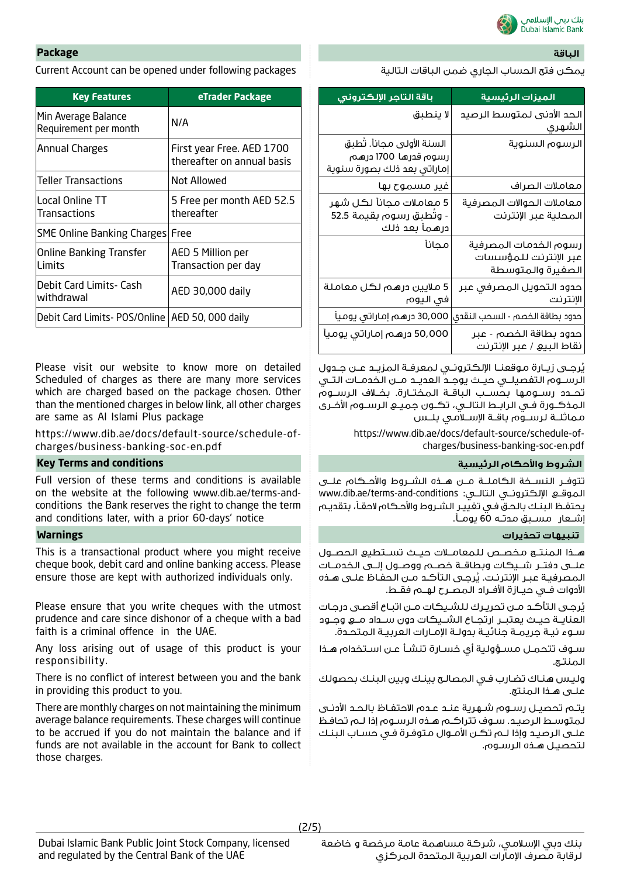

# **الباقة Package**

Current Account can be opened under following packages التالية الباقات ضمن الجاري الحساب فتح يمكن

| <b>Key Features</b>                               | eTrader Package                                         |
|---------------------------------------------------|---------------------------------------------------------|
| Min Average Balance<br>Requirement per month      | N/A                                                     |
| Annual Charges                                    | First year Free. AED 1700<br>thereafter on annual basis |
| <b>Teller Transactions</b>                        | Not Allowed                                             |
| Local Online TT<br><b>Transactions</b>            | 5 Free per month AED 52.5<br>thereafter                 |
| SME Online Banking Charges                        | Free                                                    |
| <b>Online Banking Transfer</b><br>l imits         | AED 5 Million per<br>Transaction per day                |
| Debit Card Limits- Cash<br>withdrawal             | AED 30,000 daily                                        |
| Debit Card Limits- POS/Online   AED 50, 000 daily |                                                         |

Please visit our website to know more on detailed Scheduled of charges as there are many more services which are charged based on the package chosen. Other than the mentioned charges in below link, all other charges are same as Al Islami Plus package

https://www.dib.ae/docs/default-source/schedule-ofcharges/business-banking-soc-en.pdf

### **Key Terms and conditions الرئيسية واألحكام الشروط**

Full version of these terms and conditions is available on the website at the following www.dib.ae/terms-andconditions the Bank reserves the right to change the term and conditions later, with a prior 60-days' notice

This is a transactional product where you might receive cheque book, debit card and online banking access. Please ensure those are kept with authorized individuals only.

Please ensure that you write cheques with the utmost prudence and care since dishonor of a cheque with a bad faith is a criminal offence in the UAE.

Any loss arising out of usage of this product is your responsibility.

There is no conflict of interest between you and the bank in providing this product to you.

There are monthly charges on not maintaining the minimum average balance requirements. These charges will continue to be accrued if you do not maintain the balance and if funds are not available in the account for Bank to collect those charges.

| <u>باقة التاجر الإلكتروني</u>                                                     | الميزات الرئيسية                                                    |
|-----------------------------------------------------------------------------------|---------------------------------------------------------------------|
| لا ينطبق                                                                          | الحد الأدنى لمتوسط الرصيد<br> الشهرى                                |
| السنة الأولى مجاناً. تُطبق<br>رسوم قدرها 1700 درهم<br>إماراتى بعد ذلك بصورة سنوية | الرسوم السنوية                                                      |
| غیر مسموح بھا                                                                     | معاملات الصراف                                                      |
| 5 معاملات مجاناً لكل شهر<br>- وتُطبق رسوم بقيمة 52.5<br>درهمأ بعد ذلك             | معاملات الحوالات المصرفية<br>المحلية عبر الإنترنت                   |
| مجانأ                                                                             | رسوم الخدمات المصرفية<br>عبر الإنترنت للمؤسسات<br>الصغيرة والمتوسطة |
| 5 ملايين درهم لكل معاملة<br>في اليوم                                              | حدود التحويل المصرفى عبر<br> الإنترنت                               |
| 30,000 درهم إماراتي يوميأ                                                         | حدود بطاقة الخصم - السحب النقدى                                     |
| 50,000 درهم إماراتي يوميأ                                                         | حدود بطاقة الخصم - عبر<br>نقاط البيع / عبر الإنترنت                 |

يُرجــى زيــارة موقعنــا الإلكترونــي لـمعرفـة الـمزيــد عــن جــدول الرســوم التفصيلــي حيــث يوجــد العديــد مــن الخدمــات التــي تحــدد رســومها بحســب الباقــة المختــارة. بخــاف الرســوم المذكــورة فــي الرابــط التالــي، تكــون جميــع الرســوم األخــرى مماثلــة لرســوم باقــة اإلســامي بلــس

> https://www.dib.ae/docs/default-source/schedule-ofcharges/business-banking-soc-en.pdf

تتوفــر النســخة الكاملــة مــن هــذه الشــروط واألحــكام علــى www.dib.ae/terms-and-conditions :التالــي اإللكترونــي الموقــع يحتفـظ البنـك بالحـق فـي تغييـر الشـروط واألحـكام الحقـا، بتقديـم إشــعار مســبق مدتــه 60 يومــا.

# **تنبيهات تحذيرات Warnings**

هــذا المنتــج مخصــص للمعامــات حيــث تســتطيع الحصــول علــى دفتــر شــيكات وبطاقــة خصــم ووصــول إلــى الخدمــات لمصرفيـة عبـر الإنترنـت. يُرجـى التأكـد مـن الحفـاظ علـى هـذه األدوات فــي حيــازة األفــراد المصــرح لهــم فقــط.

يُرجـى التأكـد مـن تحريـرك للشـيكات مـن اتبـاع أقصـى درجـات العنايــة حيــث يعتبــر ارتجــاع الشــيكات دون ســداد مــع وجــود سـوء نيـة جريمـة جنائيـة بدولـة اإلمـارات العربيـة المتحـدة.

سـوف تتحمـل مسـؤولية أي خسـارة تنشـأ عـن اسـتخدام هـذا المنتـج.

وليـس هنـاك تضـارب فـي المصالـح بينـك وبين البنـك بحصولك علـى هـذا المنتج.

يتـم تحصيـل رسـوم شـهرية عنـد عـدم االحتفـاظ بالحـد األدنـى لمتوسـط الرصيـد. سـوف تتراكـم هـذه الرسـوم إذا لـم تحافـظ علـى الرصيـد وإذا لـم تكـن األمـوال متوفـرة فـي حسـاب البنـك لتحصيـل هـذه الرسـوم.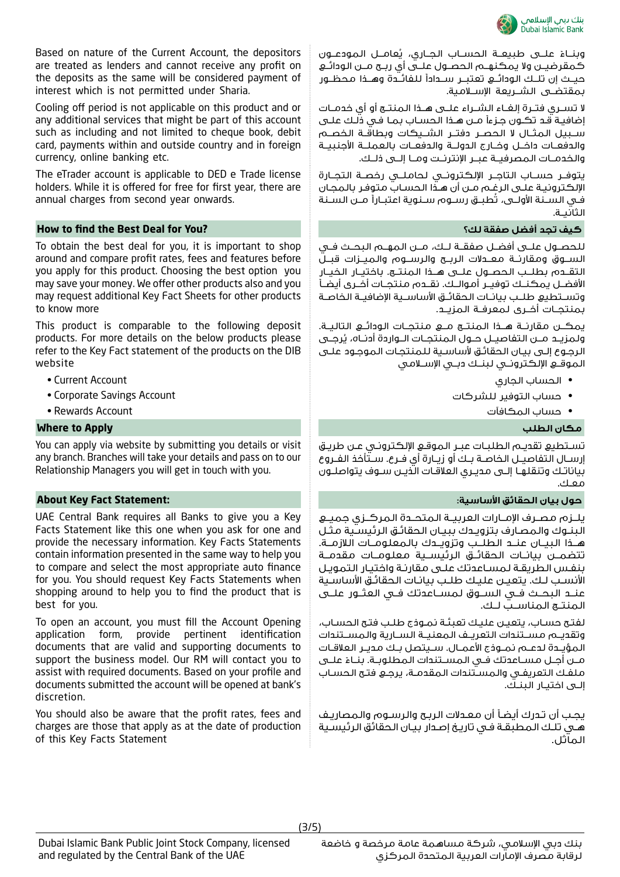

Based on nature of the Current Account, the depositors are treated as lenders and cannot receive any profit on the deposits as the same will be considered payment of interest which is not permitted under Sharia.

Cooling off period is not applicable on this product and or any additional services that might be part of this account such as including and not limited to cheque book, debit card, payments within and outside country and in foreign currency, online banking etc.

The eTrader account is applicable to DED e Trade license holders. While it is offered for free for first year, there are annual charges from second year onwards.

### **How to find the Best Deal for You? لك؟ صفقة أفضل تجد كيف**

To obtain the best deal for you, it is important to shop around and compare profit rates, fees and features before you apply for this product. Choosing the best option you may save your money. We offer other products also and you may request additional Key Fact Sheets for other products to know more

This product is comparable to the following deposit products. For more details on the below products please refer to the Key Fact statement of the products on the DIB website

- Current Account
- Corporate Savings Account
- Rewards Account

### **Where to Apply الطلب مكان**

You can apply via website by submitting you details or visit any branch. Branches will take your details and pass on to our Relationship Managers you will get in touch with you.

### **حول بيان الحقائق األساسية: :Statement Fact Key About**

UAE Central Bank requires all Banks to give you a Key Facts Statement like this one when you ask for one and provide the necessary information. Key Facts Statements contain information presented in the same way to help you to compare and select the most appropriate auto finance for you. You should request Key Facts Statements when shopping around to help you to find the product that is best for you.

To open an account, you must fill the Account Opening application form, provide pertinent identification documents that are valid and supporting documents to support the business model. Our RM will contact you to assist with required documents. Based on your profile and documents submitted the account will be opened at bank's discretion.

You should also be aware that the profit rates, fees and charges are those that apply as at the date of production of this Key Facts Statement

وبنــاءُ علـــى طبيعــة الحســاب الجــاري، يُعامـــل الـمـودعـــون<br>-كمقرضيــن وال يمكنهــم الحصــول علــى أي ربــح مــن الودائــع حيــث إن تلــك الودائــع تعتبــر ســدادًا للفائــدة وهــذا محظــور بمقتضــى الشــريعة الإســلامية.

ال تســري فتــرة إلغــاء الشــراء علــى هــذا المنتــج أو أي خدمــات إضافيـة قـد تكـون جـزءًا مـن هـذا الحسـاب بمـا فـي ذلـك علـى ســبيل الـمثــال لا الـحصــر دفتــر الشــيكات وبطاقــة الـخصــم والدفعــات داخــل وخــارج الدولــة والدفعــات بالعملــة الأحنيبــة والخدمــات المصرفيــة عبــر اإلنترنــت ومــا إلــى ذلــك.

يتوفــر حســاب التاجــر اإللكترونــي لحاملــي رخصــة التجــارة اإللكترونيـة علـى الرغـم مـن أن هـذا الحسـاب متوفـر بالمجـان فــي الســنة الأولــى، تطبــق رســوم ســنوية اعتبــاراً مــن الســنة الثانيــة.

للحصــول علــى أفضــل صفقــة لــك، مــن المهــم البحــث فــي الســوق ومقارنــة معــدالت الربــح والرســوم والميــزات قبــل التقــدم بطلــب الحصــول علــى هــذا المنتــج. باختيــار الخيــار األفضــل يمكنــك توفيــر أموالــك. نقــدم منتجــات أخــرى أيضــا وتســتطيع طلــب بيانــات الحقائــق الأساســية الإضافيــة الـخاصــة بمنتجــات أخــرى لمعرفــة المزيــد.

يمكــن مقارنــة هــذا المنتــج مــع منتجــات الودائــع التاليــة. ولمزيــد مــن التفاصيــل حــول المنتجــات الــواردة أدنــاه، يُرجــى الرجـوع إلـى بيـان الحقائـق ألساسـية للمنتجـات الموجـود علـى الموقــع اإللكترونــي لبنــك دبــي اإلســامي

- الحساب الجاري
- حساب التوفير للشركات
	- حساب المكافآت

تسـتطيع تقديـم الطلبـات عبـر الموقـع اإللكترونـي عـن طريـق إرســال التفاصيــل الخاصــة بــك أو زيــارة أي فــرع. ســتأخذ الفــروع بياناتــك وتنقلهــا إلــى مديــري العالقــات الذيــن ســوف يتواصلــون معــك.

يلــزم مصــرف اإلمــارات العربيــة المتحــدة المركــزي جميــع البنـوك والمصـارف بتزويـدك ببيـان الحقائـق الرئيسـية مثـل هــذا البيــان عنــد الطلــب وتزويــدك بالمعلومــات الالزمــة. تتضمــن بيانــات الحقائــق الرئيســية معلومــات مقدمــة بنفـس الطريقـة لمسـاعدتك علـى مقارنـة واختيـار التمويـل األنسـب لـك. يتعيـن عليـك طلـب بيانـات الحقائـق األساسـية عنــد البحــث فــي الســوق لمســاعدتك فــي العثــور علــى المنتــج المناســب لــك.

لفتـح حسـاب، يتعيـن عليـك تعبئـة نمـوذج طلـب فتـح الحسـاب، وتقديــم مســتندات التعريــف المعنيــة الســارية والمســتندات المؤيــدة لدعــم نمــوذج األعمــال. ســيتصل بــك مديــر العالقــات مــن أجــل مســاعدتك فــي الـمســتندات الـمطلوبــة. بنــاءً علـــى<br>. ملفـك التعريفـي والمسـتندات المقدمـة، يرجـع فتـح الحسـاب إلـى اختيـار البنـك.

يجـب أن تـدرك أيضـا أن معـدالت الربـح والرسـوم والمصاريـف هـي تلـك المطبقـة فـي تاريـخ إصـدار بيـان الحقائق الرئيسـية الماثل.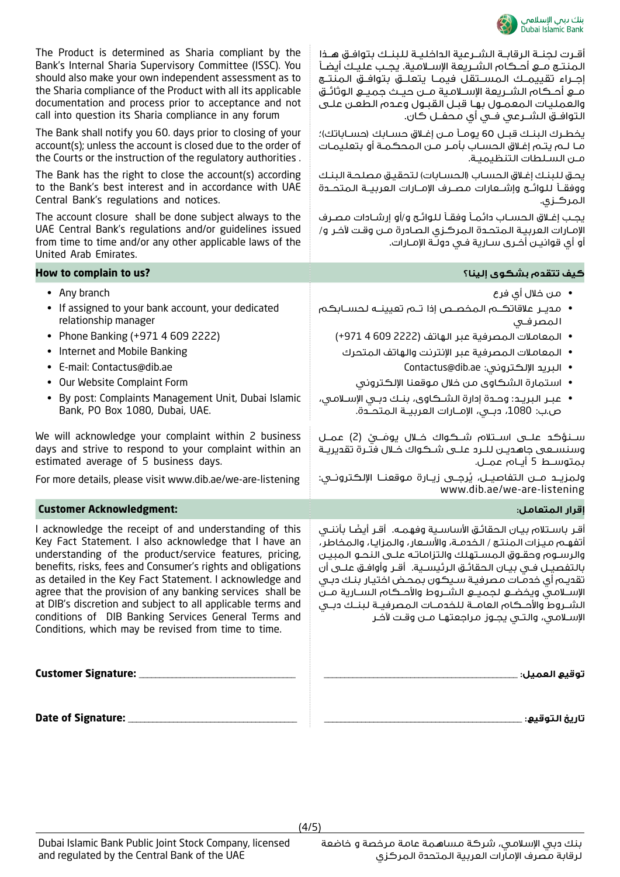

| The Product is determined as Sharia compliant by the<br>Bank's Internal Sharia Supervisory Committee (ISSC). You<br>should also make your own independent assessment as to<br>the Sharia compliance of the Product with all its applicable<br>documentation and process prior to acceptance and not<br>call into question its Sharia compliance in any forum                                                                                                                                                                                     | أقرت لجنـة الرقابـة الشـرعية الداخليـة للبنـك بتوافـق هـذا<br>إجــراء تقييمــك المســتقل فيمــا يتعلــق بتوافــق المنتــج<br>والعمليات المعمول بها قبل القبول وعدم الطعن على<br>التوافـــق الشـــرعى فـــى أى مـحفــل كان.                                                                                                                                                                                                                                                                                                          |
|--------------------------------------------------------------------------------------------------------------------------------------------------------------------------------------------------------------------------------------------------------------------------------------------------------------------------------------------------------------------------------------------------------------------------------------------------------------------------------------------------------------------------------------------------|-------------------------------------------------------------------------------------------------------------------------------------------------------------------------------------------------------------------------------------------------------------------------------------------------------------------------------------------------------------------------------------------------------------------------------------------------------------------------------------------------------------------------------------|
| The Bank shall notify you 60. days prior to closing of your<br>account(s); unless the account is closed due to the order of<br>the Courts or the instruction of the regulatory authorities.                                                                                                                                                                                                                                                                                                                                                      | يخطـرك البنـك قبـل 60 يومـأ مـن إغـلاق حسـابك (حسـاباتك)؛<br>مـا لــم يتـم إغـلاق الـحسـاب بأمـر مــن الـمحكـمـة أو بتعليمـات<br>مـن السـلطات التنظيميـة.                                                                                                                                                                                                                                                                                                                                                                           |
| The Bank has the right to close the account(s) according<br>to the Bank's best interest and in accordance with UAE<br>Central Bank's regulations and notices.                                                                                                                                                                                                                                                                                                                                                                                    | يحق للبنك إغلاق الحساب (الحسابات) لتحقيق مصلحة البنك<br>ووفقـأ للوائــح وإشـــعارات مصــرف الإمــارات العربيــة الـمتحــدة<br>المركزى.                                                                                                                                                                                                                                                                                                                                                                                              |
| The account closure shall be done subject always to the<br>UAE Central Bank's regulations and/or guidelines issued<br>from time to time and/or any other applicable laws of the<br>United Arab Emirates.                                                                                                                                                                                                                                                                                                                                         | يجب إغـلاق الحسـاب دائمـأ وفقـأ للـوائـح و/أو إرشـادات مصـرف<br>الإمارات العربية المتحدة المركزى الصادرة مـن وقت لآخر و/<br>أو أي قوانيـن أُخـري سـارية فـي دولـُة الإمـارات.                                                                                                                                                                                                                                                                                                                                                       |
| How to complain to us?                                                                                                                                                                                                                                                                                                                                                                                                                                                                                                                           | كيف تتقدم بشكوى إلينا؟                                                                                                                                                                                                                                                                                                                                                                                                                                                                                                              |
| • Any branch<br>• If assigned to your bank account, your dedicated                                                                                                                                                                                                                                                                                                                                                                                                                                                                               | •   من خلال أي فرع                                                                                                                                                                                                                                                                                                                                                                                                                                                                                                                  |
| relationship manager                                                                                                                                                                                                                                                                                                                                                                                                                                                                                                                             | المصرفى                                                                                                                                                                                                                                                                                                                                                                                                                                                                                                                             |
| • Phone Banking (+971 4 609 2222)                                                                                                                                                                                                                                                                                                                                                                                                                                                                                                                | • المعاملات المصرفية عبر الهاتف (2222 609 4 971+)                                                                                                                                                                                                                                                                                                                                                                                                                                                                                   |
| • Internet and Mobile Banking                                                                                                                                                                                                                                                                                                                                                                                                                                                                                                                    | •   المعاملات المصرفية عبر الإنترنت والهاتف المتحرك                                                                                                                                                                                                                                                                                                                                                                                                                                                                                 |
| • E-mail: Contactus@dib.ae                                                                                                                                                                                                                                                                                                                                                                                                                                                                                                                       | • البريد الإلكتروني: Contactus@dib.ae                                                                                                                                                                                                                                                                                                                                                                                                                                                                                               |
| • Our Website Complaint Form                                                                                                                                                                                                                                                                                                                                                                                                                                                                                                                     | • استمارة الشكاوي من خلال موقعنا الإلكتروني                                                                                                                                                                                                                                                                                                                                                                                                                                                                                         |
| • By post: Complaints Management Unit, Dubai Islamic<br>Bank, PO Box 1080, Dubai, UAE.                                                                                                                                                                                                                                                                                                                                                                                                                                                           | • عبـر البريـد: وحـدة إدارة الشـكاوى، بنـك دبـى الإسـلامـى،<br>ص.ب: 1080، دبـي، الإمــارات العربيــة المتحــدة.                                                                                                                                                                                                                                                                                                                                                                                                                     |
| We will acknowledge your complaint within 2 business<br>days and strive to respond to your complaint within an<br>estimated average of 5 business days.                                                                                                                                                                                                                                                                                                                                                                                          | ســنـؤكـد علـــى اســتلام شـــكـواك خــلال يومَـــيْ (2) عمــل<br>وسنسـعى جاهديـن للــرد علــى شــكواك خـلال فتّـرة تقديريـة<br>بمتوســط 5 أيــام عمــل.                                                                                                                                                                                                                                                                                                                                                                            |
| For more details, please visit www.dib.ae/we-are-listening                                                                                                                                                                                                                                                                                                                                                                                                                                                                                       | ولمزيـد مـــن التفاصيـــل، يُرجـــى زيــارة مـوقعنــا الإلكـترونـــى:<br>www.dib.ae/we-are-listening                                                                                                                                                                                                                                                                                                                                                                                                                                |
| <b>Customer Acknowledgment:</b>                                                                                                                                                                                                                                                                                                                                                                                                                                                                                                                  | إقرار المتعامل:                                                                                                                                                                                                                                                                                                                                                                                                                                                                                                                     |
| I acknowledge the receipt of and understanding of this<br>Key Fact Statement. I also acknowledge that I have an<br>understanding of the product/service features, pricing,<br>benefits, risks, fees and Consumer's rights and obligations<br>as detailed in the Key Fact Statement. I acknowledge and<br>agree that the provision of any banking services shall be<br>at DIB's discretion and subject to all applicable terms and<br>conditions of DIB Banking Services General Terms and<br>Conditions, which may be revised from time to time. | أقـر باسـتلام بيـان الـحقائـق الأساسـية وفهمـه.  أقـر أيضًا بأننــى<br>أتفهـم مـيـزات الـمنتـج / الـخدمـة، والأسـعار ، والـمزايـا ، والـمخاطر ،<br>والرسـوم وحقـوق المسـتهلك والتزاماتـه علـى النحـو المبيـن<br>بالتفصيـل فـى بيـان الحقائـق الرئيسـية.  أقـر وأوافـق علــى أن<br>تقديم أى خدمات مصرفية سيكون بمحض اختيار بنك دبى<br>الإســـلامـــى ويخضــــع لـجميـــع الـشــــروط والأحـــكام الـســارية مـــن<br>الشـروط والأحـكام العامــة للخدمــات المصرفيــة لبنــك دبــى<br>الإسلامي، والتي يجـوز مراجعتهـا مــن وقـت لآخـر |
| Customer Signature: ____________                                                                                                                                                                                                                                                                                                                                                                                                                                                                                                                 | توقيع العميل:                                                                                                                                                                                                                                                                                                                                                                                                                                                                                                                       |
| Date of Signature: _                                                                                                                                                                                                                                                                                                                                                                                                                                                                                                                             | تاريخ التوقيع:                                                                                                                                                                                                                                                                                                                                                                                                                                                                                                                      |